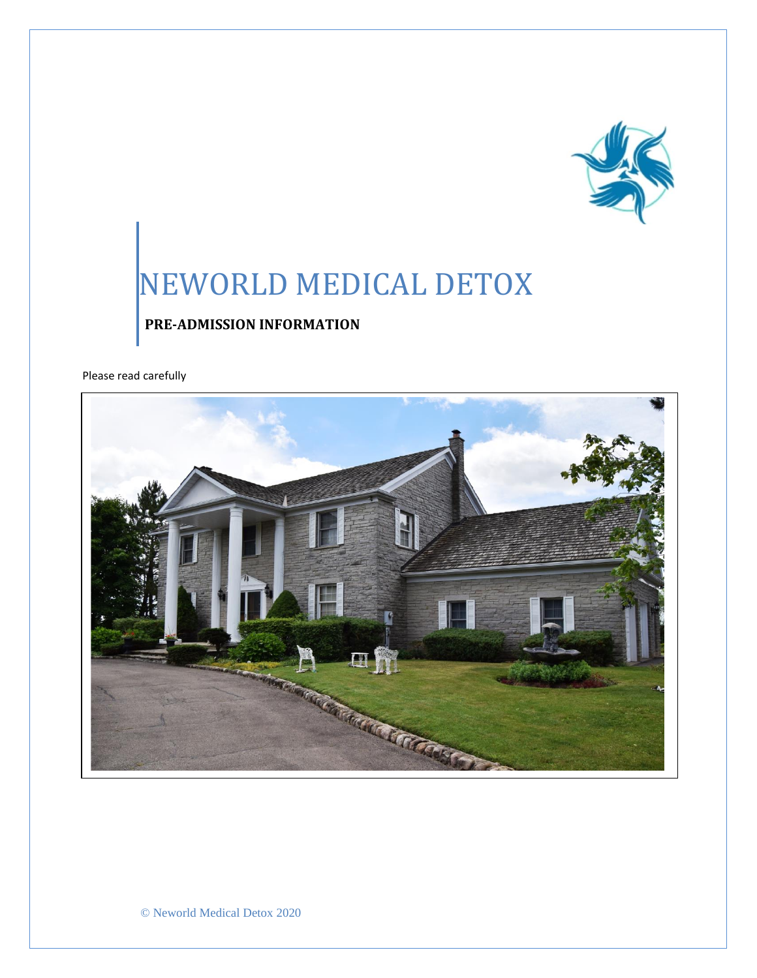

# NEWORLD MEDICAL DETOX

## **PRE-ADMISSION INFORMATION**

Please read carefully



© Neworld Medical Detox 2020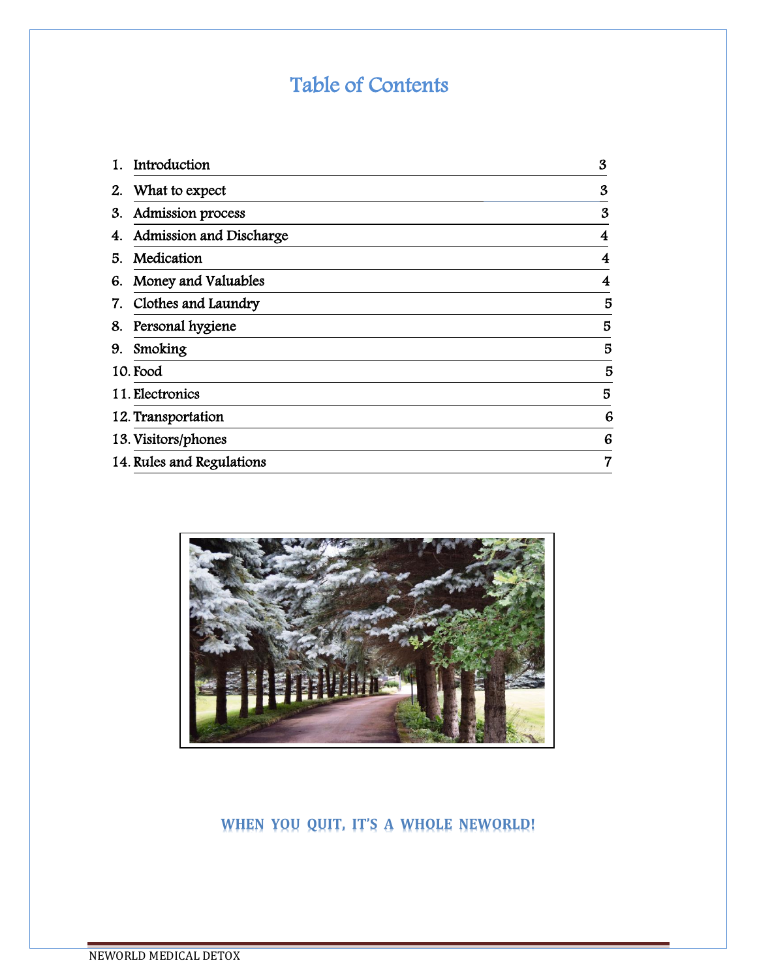# Table of Contents

| 1. | Introduction              | $\boldsymbol{\mathcal{S}}$ |
|----|---------------------------|----------------------------|
| 2. | What to expect            | 3                          |
| 3. | Admission process         | 3                          |
| 4. | Admission and Discharge   | 4                          |
| 5. | Medication                | 4                          |
| 6. | Money and Valuables       | 4                          |
| 7. | Clothes and Laundry       | 5                          |
| 8. | Personal hygiene          | 5                          |
| 9. | Smoking                   | 5                          |
|    | 10. Food                  | 5                          |
|    | 11. Electronics           | 5                          |
|    | 12. Transportation        | 6                          |
|    | 13. Visitors/phones       | 6                          |
|    | 14. Rules and Regulations | 7                          |



# **WHEN YOU QUIT, IT'S A WHOLE NEWORLD!**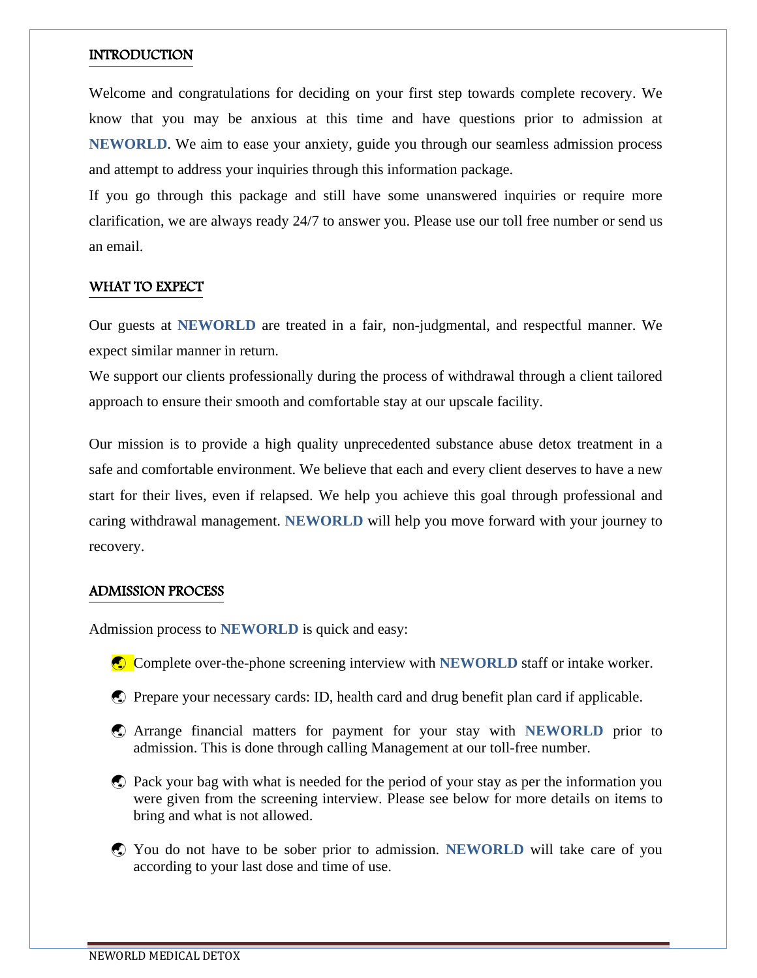#### **INTRODUCTION**

Welcome and congratulations for deciding on your first step towards complete recovery. We know that you may be anxious at this time and have questions prior to admission at **NEWORLD**. We aim to ease your anxiety, guide you through our seamless admission process and attempt to address your inquiries through this information package.

If you go through this package and still have some unanswered inquiries or require more clarification, we are always ready 24/7 to answer you. Please use our toll free number or send us an email.

#### WHAT TO EXPECT

Our guests at **NEWORLD** are treated in a fair, non-judgmental, and respectful manner. We expect similar manner in return.

We support our clients professionally during the process of withdrawal through a client tailored approach to ensure their smooth and comfortable stay at our upscale facility.

Our mission is to provide a high quality unprecedented substance abuse detox treatment in a safe and comfortable environment. We believe that each and every client deserves to have a new start for their lives, even if relapsed. We help you achieve this goal through professional and caring withdrawal management. **NEWORLD** will help you move forward with your journey to recovery.

#### ADMISSION PROCESS

Admission process to **NEWORLD** is quick and easy:

- Complete over-the-phone screening interview with **NEWORLD** staff or intake worker.
- Prepare your necessary cards: ID, health card and drug benefit plan card if applicable.
- Arrange financial matters for payment for your stay with **NEWORLD** prior to admission. This is done through calling Management at our toll-free number.
- Pack your bag with what is needed for the period of your stay as per the information you were given from the screening interview. Please see below for more details on items to bring and what is not allowed.
- You do not have to be sober prior to admission. **NEWORLD** will take care of you according to your last dose and time of use.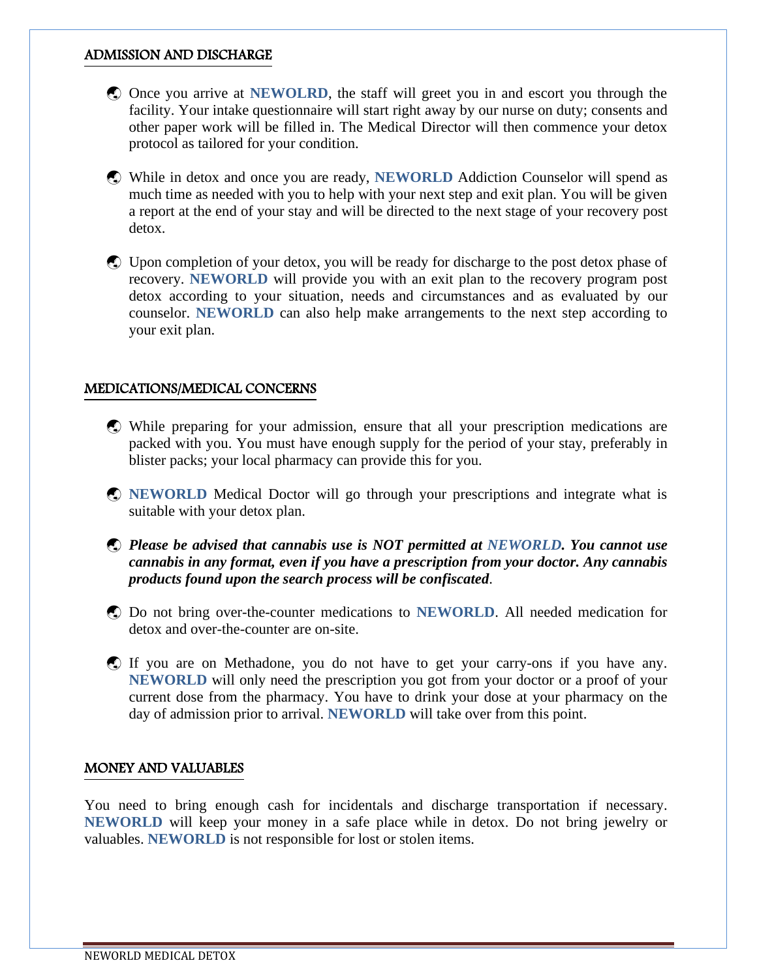#### ADMISSION AND DISCHARGE

- Once you arrive at **NEWOLRD**, the staff will greet you in and escort you through the facility. Your intake questionnaire will start right away by our nurse on duty; consents and other paper work will be filled in. The Medical Director will then commence your detox protocol as tailored for your condition.
- While in detox and once you are ready, **NEWORLD** Addiction Counselor will spend as much time as needed with you to help with your next step and exit plan. You will be given a report at the end of your stay and will be directed to the next stage of your recovery post detox.
- Upon completion of your detox, you will be ready for discharge to the post detox phase of recovery. **NEWORLD** will provide you with an exit plan to the recovery program post detox according to your situation, needs and circumstances and as evaluated by our counselor. **NEWORLD** can also help make arrangements to the next step according to your exit plan.

#### MEDICATIONS/MEDICAL CONCERNS

- While preparing for your admission, ensure that all your prescription medications are packed with you. You must have enough supply for the period of your stay, preferably in blister packs; your local pharmacy can provide this for you.
- **C NEWORLD** Medical Doctor will go through your prescriptions and integrate what is suitable with your detox plan.
- *Please be advised that cannabis use is NOT permitted at NEWORLD. You cannot use cannabis in any format, even if you have a prescription from your doctor. Any cannabis products found upon the search process will be confiscated*.
- Do not bring over-the-counter medications to **NEWORLD**. All needed medication for detox and over-the-counter are on-site.
- If you are on Methadone, you do not have to get your carry-ons if you have any. **NEWORLD** will only need the prescription you got from your doctor or a proof of your current dose from the pharmacy. You have to drink your dose at your pharmacy on the day of admission prior to arrival. **NEWORLD** will take over from this point.

#### MONEY AND VALUABLES

You need to bring enough cash for incidentals and discharge transportation if necessary. **NEWORLD** will keep your money in a safe place while in detox. Do not bring jewelry or valuables. **NEWORLD** is not responsible for lost or stolen items.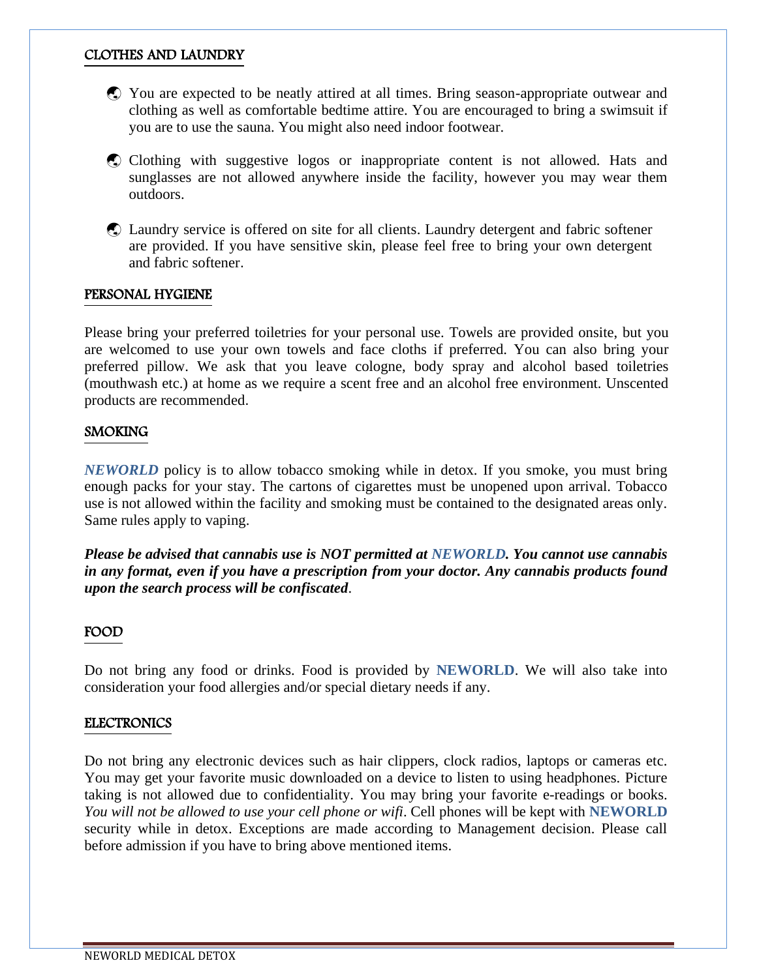#### CLOTHES AND LAUNDRY

- You are expected to be neatly attired at all times. Bring season-appropriate outwear and clothing as well as comfortable bedtime attire. You are encouraged to bring a swimsuit if you are to use the sauna. You might also need indoor footwear.
- Clothing with suggestive logos or inappropriate content is not allowed. Hats and sunglasses are not allowed anywhere inside the facility, however you may wear them outdoors.
- Laundry service is offered on site for all clients. Laundry detergent and fabric softener are provided. If you have sensitive skin, please feel free to bring your own detergent and fabric softener.

#### PERSONAL HYGIENE

Please bring your preferred toiletries for your personal use. Towels are provided onsite, but you are welcomed to use your own towels and face cloths if preferred. You can also bring your preferred pillow. We ask that you leave cologne, body spray and alcohol based toiletries (mouthwash etc.) at home as we require a scent free and an alcohol free environment. Unscented products are recommended.

#### SMOKING

*NEWORLD* policy is to allow tobacco smoking while in detox. If you smoke, you must bring enough packs for your stay. The cartons of cigarettes must be unopened upon arrival. Tobacco use is not allowed within the facility and smoking must be contained to the designated areas only. Same rules apply to vaping.

*Please be advised that cannabis use is NOT permitted at NEWORLD. You cannot use cannabis in any format, even if you have a prescription from your doctor. Any cannabis products found upon the search process will be confiscated*.

#### FOOD

Do not bring any food or drinks. Food is provided by **NEWORLD**. We will also take into consideration your food allergies and/or special dietary needs if any.

#### ELECTRONICS

Do not bring any electronic devices such as hair clippers, clock radios, laptops or cameras etc. You may get your favorite music downloaded on a device to listen to using headphones. Picture taking is not allowed due to confidentiality. You may bring your favorite e-readings or books. *You will not be allowed to use your cell phone or wifi*. Cell phones will be kept with **NEWORLD** security while in detox. Exceptions are made according to Management decision. Please call before admission if you have to bring above mentioned items.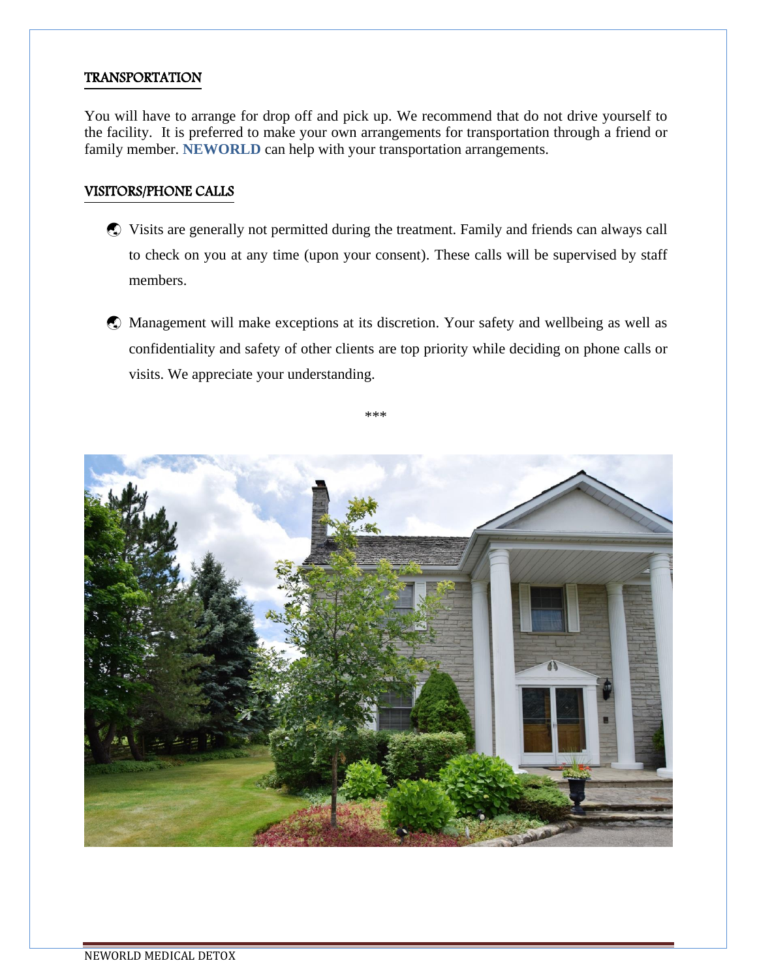#### TRANSPORTATION

You will have to arrange for drop off and pick up. We recommend that do not drive yourself to the facility. It is preferred to make your own arrangements for transportation through a friend or family member. **NEWORLD** can help with your transportation arrangements.

#### VISITORS/PHONE CALLS

- Visits are generally not permitted during the treatment. Family and friends can always call to check on you at any time (upon your consent). These calls will be supervised by staff members.
- Management will make exceptions at its discretion. Your safety and wellbeing as well as confidentiality and safety of other clients are top priority while deciding on phone calls or visits. We appreciate your understanding.

\*\*\*

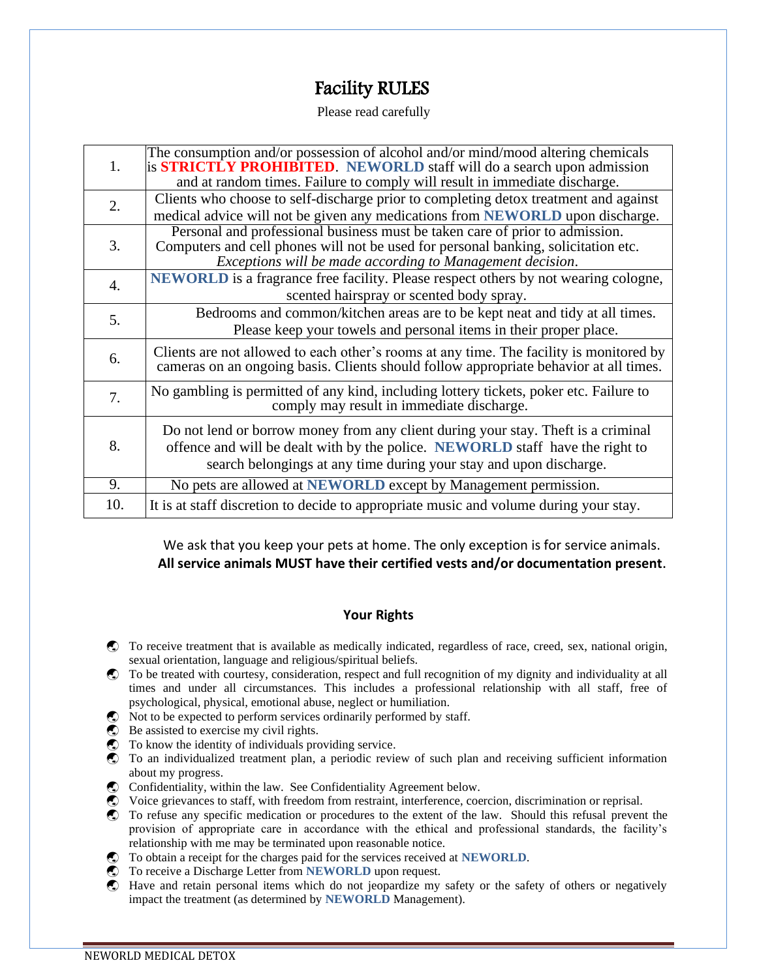# Facility RULES

Please read carefully

| 1.               | The consumption and/or possession of alcohol and/or mind/mood altering chemicals<br>is <b>STRICTLY PROHIBITED</b> . NEWORLD staff will do a search upon admission<br>and at random times. Failure to comply will result in immediate discharge. |  |
|------------------|-------------------------------------------------------------------------------------------------------------------------------------------------------------------------------------------------------------------------------------------------|--|
| 2.               | Clients who choose to self-discharge prior to completing detox treatment and against<br>medical advice will not be given any medications from NEWORLD upon discharge.                                                                           |  |
| 3.               | Personal and professional business must be taken care of prior to admission.<br>Computers and cell phones will not be used for personal banking, solicitation etc.<br>Exceptions will be made according to Management decision.                 |  |
| $\overline{4}$ . | <b>NEWORLD</b> is a fragrance free facility. Please respect others by not wearing cologne,<br>scented hairspray or scented body spray.                                                                                                          |  |
| 5.               | Bedrooms and common/kitchen areas are to be kept neat and tidy at all times.<br>Please keep your towels and personal items in their proper place.                                                                                               |  |
| 6.               | Clients are not allowed to each other's rooms at any time. The facility is monitored by<br>cameras on an ongoing basis. Clients should follow appropriate behavior at all times.                                                                |  |
| 7.               | No gambling is permitted of any kind, including lottery tickets, poker etc. Failure to<br>comply may result in immediate discharge.                                                                                                             |  |
| 8.               | Do not lend or borrow money from any client during your stay. Theft is a criminal<br>offence and will be dealt with by the police. NEWORLD staff have the right to<br>search belongings at any time during your stay and upon discharge.        |  |
| 9.               | No pets are allowed at <b>NEWORLD</b> except by Management permission.                                                                                                                                                                          |  |
| 10.              | It is at staff discretion to decide to appropriate music and volume during your stay.                                                                                                                                                           |  |

We ask that you keep your pets at home. The only exception is for service animals. **All service animals MUST have their certified vests and/or documentation present.**

#### **Your Rights**

- To receive treatment that is available as medically indicated, regardless of race, creed, sex, national origin, sexual orientation, language and religious/spiritual beliefs.
- To be treated with courtesy, consideration, respect and full recognition of my dignity and individuality at all times and under all circumstances. This includes a professional relationship with all staff, free of psychological, physical, emotional abuse, neglect or humiliation.
- $\bullet$  Not to be expected to perform services ordinarily performed by staff.
- $\bullet$  Be assisted to exercise my civil rights.
- To know the identity of individuals providing service.
- To an individualized treatment plan, a periodic review of such plan and receiving sufficient information about my progress.
- Confidentiality, within the law. See Confidentiality Agreement below.
- Voice grievances to staff, with freedom from restraint, interference, coercion, discrimination or reprisal.
- To refuse any specific medication or procedures to the extent of the law. Should this refusal prevent the provision of appropriate care in accordance with the ethical and professional standards, the facility's relationship with me may be terminated upon reasonable notice.
- To obtain a receipt for the charges paid for the services received at **NEWORLD**.
- To receive a Discharge Letter from **NEWORLD** upon request.
- Have and retain personal items which do not jeopardize my safety or the safety of others or negatively impact the treatment (as determined by **NEWORLD** Management).